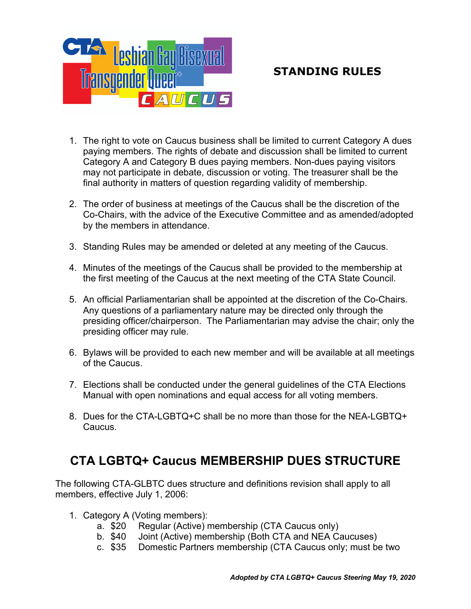

- 1. The right to vote on Caucus business shall be limited to current Category A dues paying members. The rights of debate and discussion shall be limited to current Category A and Category B dues paying members. Non-dues paying visitors may not participate in debate, discussion or voting. The treasurer shall be the final authority in matters of question regarding validity of membership.
- 2. The order of business at meetings of the Caucus shall be the discretion of the Co-Chairs, with the advice of the Executive Committee and as amended/adopted by the members in attendance.
- 3. Standing Rules may be amended or deleted at any meeting of the Caucus.
- 4. Minutes of the meetings of the Caucus shall be provided to the membership at the first meeting of the Caucus at the next meeting of the CTA State Council.
- 5. An official Parliamentarian shall be appointed at the discretion of the Co-Chairs. Any questions of a parliamentary nature may be directed only through the presiding officer/chairperson. The Parliamentarian may advise the chair; only the presiding officer may rule.
- 6. Bylaws will be provided to each new member and will be available at all meetings of the Caucus.
- 7. Elections shall be conducted under the general guidelines of the CTA Elections Manual with open nominations and equal access for all voting members.
- 8. Dues for the CTA-LGBTQ+C shall be no more than those for the NEA-LGBTQ+ Caucus.

# **CTA LGBTQ+ Caucus MEMBERSHIP DUES STRUCTURE**

The following CTA-GLBTC dues structure and definitions revision shall apply to all members, effective July 1, 2006:

- 1. Category A (Voting members):
	- a. \$20 Regular (Active) membership (CTA Caucus only)
	- b. \$40 Joint (Active) membership (Both CTA and NEA Caucuses)
	- c. \$35 Domestic Partners membership (CTA Caucus only; must be two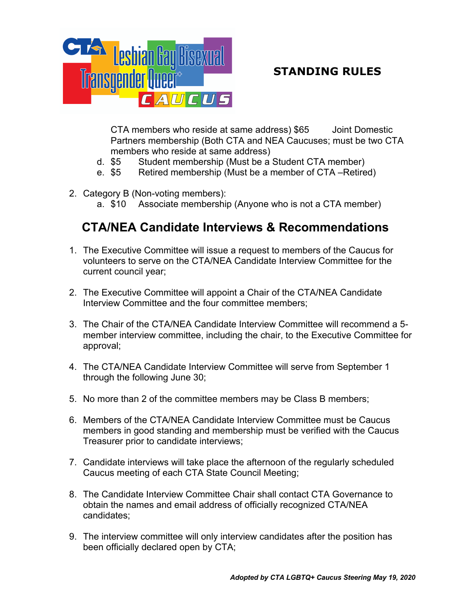

CTA members who reside at same address) \$65 Joint Domestic Partners membership (Both CTA and NEA Caucuses; must be two CTA members who reside at same address)

- d. \$5 Student membership (Must be a Student CTA member)
- e. \$5 Retired membership (Must be a member of CTA –Retired)
- 2. Category B (Non-voting members):
	- a. \$10 Associate membership (Anyone who is not a CTA member)

# **CTA/NEA Candidate Interviews & Recommendations**

- 1. The Executive Committee will issue a request to members of the Caucus for volunteers to serve on the CTA/NEA Candidate Interview Committee for the current council year;
- 2. The Executive Committee will appoint a Chair of the CTA/NEA Candidate Interview Committee and the four committee members;
- 3. The Chair of the CTA/NEA Candidate Interview Committee will recommend a 5 member interview committee, including the chair, to the Executive Committee for approval;
- 4. The CTA/NEA Candidate Interview Committee will serve from September 1 through the following June 30;
- 5. No more than 2 of the committee members may be Class B members;
- 6. Members of the CTA/NEA Candidate Interview Committee must be Caucus members in good standing and membership must be verified with the Caucus Treasurer prior to candidate interviews;
- 7. Candidate interviews will take place the afternoon of the regularly scheduled Caucus meeting of each CTA State Council Meeting;
- 8. The Candidate Interview Committee Chair shall contact CTA Governance to obtain the names and email address of officially recognized CTA/NEA candidates;
- 9. The interview committee will only interview candidates after the position has been officially declared open by CTA;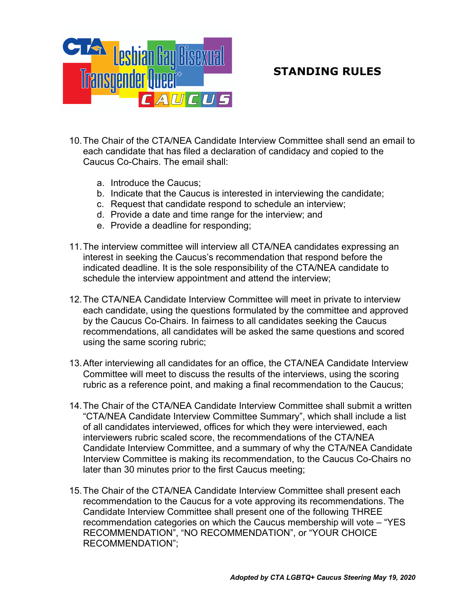

- 10.The Chair of the CTA/NEA Candidate Interview Committee shall send an email to each candidate that has filed a declaration of candidacy and copied to the Caucus Co-Chairs. The email shall:
	- a. Introduce the Caucus;
	- b. Indicate that the Caucus is interested in interviewing the candidate;
	- c. Request that candidate respond to schedule an interview;
	- d. Provide a date and time range for the interview; and
	- e. Provide a deadline for responding;
- 11.The interview committee will interview all CTA/NEA candidates expressing an interest in seeking the Caucus's recommendation that respond before the indicated deadline. It is the sole responsibility of the CTA/NEA candidate to schedule the interview appointment and attend the interview;
- 12.The CTA/NEA Candidate Interview Committee will meet in private to interview each candidate, using the questions formulated by the committee and approved by the Caucus Co-Chairs. In fairness to all candidates seeking the Caucus recommendations, all candidates will be asked the same questions and scored using the same scoring rubric;
- 13.After interviewing all candidates for an office, the CTA/NEA Candidate Interview Committee will meet to discuss the results of the interviews, using the scoring rubric as a reference point, and making a final recommendation to the Caucus;
- 14.The Chair of the CTA/NEA Candidate Interview Committee shall submit a written "CTA/NEA Candidate Interview Committee Summary", which shall include a list of all candidates interviewed, offices for which they were interviewed, each interviewers rubric scaled score, the recommendations of the CTA/NEA Candidate Interview Committee, and a summary of why the CTA/NEA Candidate Interview Committee is making its recommendation, to the Caucus Co-Chairs no later than 30 minutes prior to the first Caucus meeting;
- 15.The Chair of the CTA/NEA Candidate Interview Committee shall present each recommendation to the Caucus for a vote approving its recommendations. The Candidate Interview Committee shall present one of the following THREE recommendation categories on which the Caucus membership will vote – "YES RECOMMENDATION", "NO RECOMMENDATION", or "YOUR CHOICE RECOMMENDATION";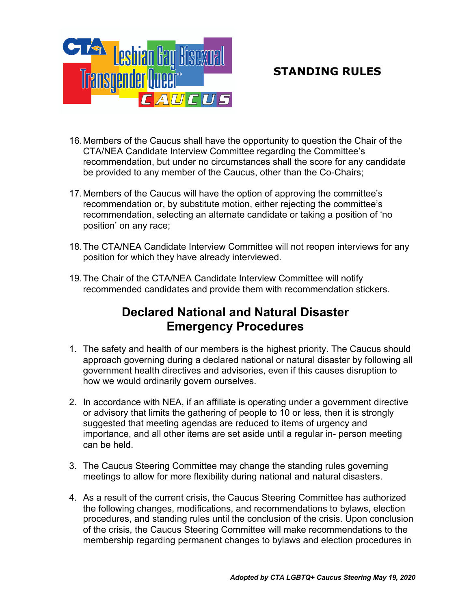

- 16.Members of the Caucus shall have the opportunity to question the Chair of the CTA/NEA Candidate Interview Committee regarding the Committee's recommendation, but under no circumstances shall the score for any candidate be provided to any member of the Caucus, other than the Co-Chairs;
- 17.Members of the Caucus will have the option of approving the committee's recommendation or, by substitute motion, either rejecting the committee's recommendation, selecting an alternate candidate or taking a position of 'no position' on any race;
- 18.The CTA/NEA Candidate Interview Committee will not reopen interviews for any position for which they have already interviewed.
- 19.The Chair of the CTA/NEA Candidate Interview Committee will notify recommended candidates and provide them with recommendation stickers.

## **Declared National and Natural Disaster Emergency Procedures**

- 1. The safety and health of our members is the highest priority. The Caucus should approach governing during a declared national or natural disaster by following all government health directives and advisories, even if this causes disruption to how we would ordinarily govern ourselves.
- 2. In accordance with NEA, if an affiliate is operating under a government directive or advisory that limits the gathering of people to 10 or less, then it is strongly suggested that meeting agendas are reduced to items of urgency and importance, and all other items are set aside until a regular in- person meeting can be held.
- 3. The Caucus Steering Committee may change the standing rules governing meetings to allow for more flexibility during national and natural disasters.
- 4. As a result of the current crisis, the Caucus Steering Committee has authorized the following changes, modifications, and recommendations to bylaws, election procedures, and standing rules until the conclusion of the crisis. Upon conclusion of the crisis, the Caucus Steering Committee will make recommendations to the membership regarding permanent changes to bylaws and election procedures in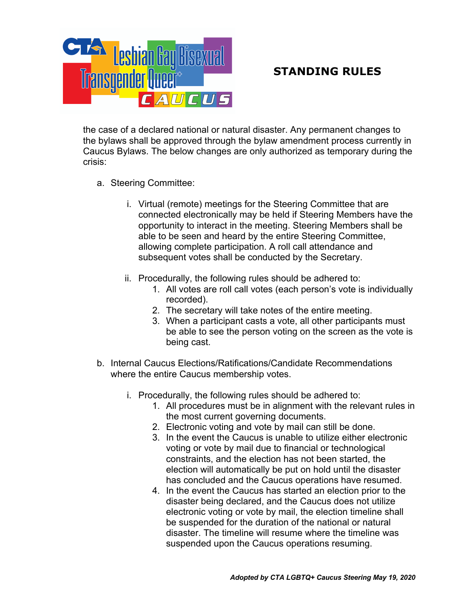

the case of a declared national or natural disaster. Any permanent changes to the bylaws shall be approved through the bylaw amendment process currently in Caucus Bylaws. The below changes are only authorized as temporary during the crisis:

- a. Steering Committee:
	- i. Virtual (remote) meetings for the Steering Committee that are connected electronically may be held if Steering Members have the opportunity to interact in the meeting. Steering Members shall be able to be seen and heard by the entire Steering Committee, allowing complete participation. A roll call attendance and subsequent votes shall be conducted by the Secretary.
	- ii. Procedurally, the following rules should be adhered to:
		- 1. All votes are roll call votes (each person's vote is individually recorded).
		- 2. The secretary will take notes of the entire meeting.
		- 3. When a participant casts a vote, all other participants must be able to see the person voting on the screen as the vote is being cast.
- b. Internal Caucus Elections/Ratifications/Candidate Recommendations where the entire Caucus membership votes.
	- i. Procedurally, the following rules should be adhered to:
		- 1. All procedures must be in alignment with the relevant rules in the most current governing documents.
		- 2. Electronic voting and vote by mail can still be done.
		- 3. In the event the Caucus is unable to utilize either electronic voting or vote by mail due to financial or technological constraints, and the election has not been started, the election will automatically be put on hold until the disaster has concluded and the Caucus operations have resumed.
		- 4. In the event the Caucus has started an election prior to the disaster being declared, and the Caucus does not utilize electronic voting or vote by mail, the election timeline shall be suspended for the duration of the national or natural disaster. The timeline will resume where the timeline was suspended upon the Caucus operations resuming.